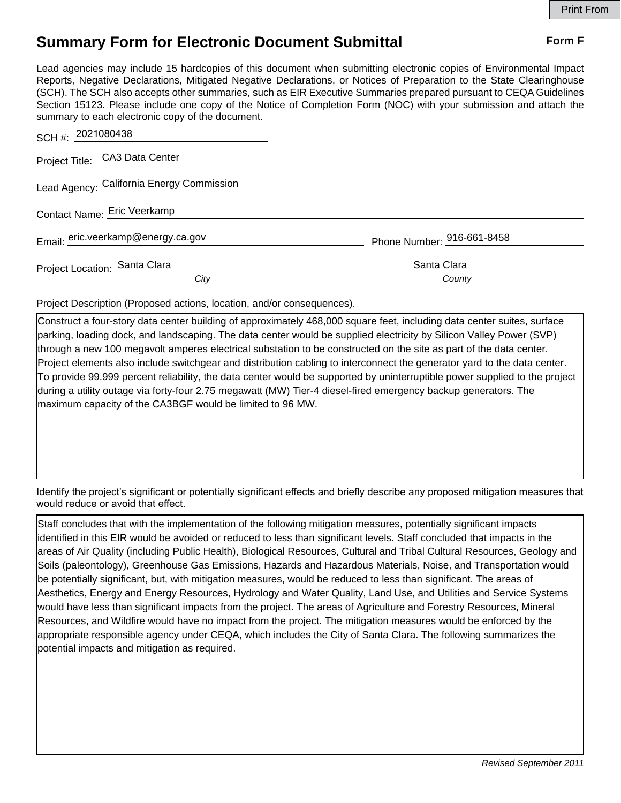## **Summary Form for Electronic Document Submittal Form F Form F**

Lead agencies may include 15 hardcopies of this document when submitting electronic copies of Environmental Impact Reports, Negative Declarations, Mitigated Negative Declarations, or Notices of Preparation to the State Clearinghouse (SCH). The SCH also accepts other summaries, such as EIR Executive Summaries prepared pursuant to CEQA Guidelines Section 15123. Please include one copy of the Notice of Completion Form (NOC) with your submission and attach the summary to each electronic copy of the document.

| SCH #: 2021080438              |                                           |                            |
|--------------------------------|-------------------------------------------|----------------------------|
| Project Title: CA3 Data Center |                                           |                            |
|                                | Lead Agency: California Energy Commission |                            |
| Contact Name: Eric Veerkamp    |                                           |                            |
|                                | Email: eric.veerkamp@energy.ca.gov        | Phone Number: 916-661-8458 |
| Project Location: Santa Clara  |                                           | Santa Clara                |
|                                | City                                      | County                     |

Project Description (Proposed actions, location, and/or consequences).

Construct a four-story data center building of approximately 468,000 square feet, including data center suites, surface parking, loading dock, and landscaping. The data center would be supplied electricity by Silicon Valley Power (SVP) through a new 100 megavolt amperes electrical substation to be constructed on the site as part of the data center. Project elements also include switchgear and distribution cabling to interconnect the generator yard to the data center. To provide 99.999 percent reliability, the data center would be supported by uninterruptible power supplied to the project during a utility outage via forty-four 2.75 megawatt (MW) Tier-4 diesel-fired emergency backup generators. The maximum capacity of the CA3BGF would be limited to 96 MW.

Identify the project's significant or potentially significant effects and briefly describe any proposed mitigation measures that would reduce or avoid that effect.

Staff concludes that with the implementation of the following mitigation measures, potentially significant impacts identified in this EIR would be avoided or reduced to less than significant levels. Staff concluded that impacts in the areas of Air Quality (including Public Health), Biological Resources, Cultural and Tribal Cultural Resources, Geology and Soils (paleontology), Greenhouse Gas Emissions, Hazards and Hazardous Materials, Noise, and Transportation would be potentially significant, but, with mitigation measures, would be reduced to less than significant. The areas of Aesthetics, Energy and Energy Resources, Hydrology and Water Quality, Land Use, and Utilities and Service Systems would have less than significant impacts from the project. The areas of Agriculture and Forestry Resources, Mineral Resources, and Wildfire would have no impact from the project. The mitigation measures would be enforced by the appropriate responsible agency under CEQA, which includes the City of Santa Clara. The following summarizes the potential impacts and mitigation as required.